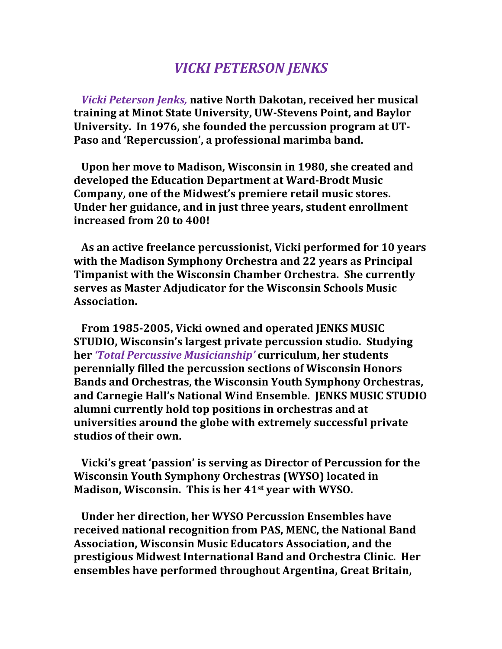## *VICKI PETERSON JENKS*

*Vicki Peterson Jenks, native North Dakotan, received her musical* **training at Minot State University, UW-Stevens Point, and Baylor**  University. In 1976, she founded the percussion program at UT-Paso and 'Repercussion', a professional marimba band.

Upon her move to Madison, Wisconsin in 1980, she created and developed the Education Department at Ward-Brodt Music **Company, one of the Midwest's premiere retail music stores. Under her guidance, and in just three years, student enrollment increased from 20 to 400!**

As an active freelance percussionist, Vicki performed for 10 years with the Madison Symphony Orchestra and 22 years as Principal **Timpanist with the Wisconsin Chamber Orchestra. She currently serves as Master Adjudicator for the Wisconsin Schools Music Association.**

From 1985-2005, Vicki owned and operated JENKS MUSIC **STUDIO, Wisconsin's largest private percussion studio. Studying her** 'Total Percussive Musicianship' curriculum, her students **perennially filled the percussion sections of Wisconsin Honors** Bands and Orchestras, the Wisconsin Youth Symphony Orchestras. and Carnegie Hall's National Wind Ensemble. **JENKS MUSIC STUDIO** alumni currently hold top positions in orchestras and at **universities around the globe with extremely successful private** studios of their own.

**Nicki's great 'passion' is serving as Director of Percussion for the Wisconsin Youth Symphony Orchestras (WYSO) located in Madison, Wisconsin. This is her 41st year with WYSO.** 

 **Under her direction, her WYSO Percussion Ensembles have received national recognition from PAS, MENC, the National Band Association, Wisconsin Music Educators Association, and the prestigious Midwest International Band and Orchestra Clinic. Her ensembles** have performed throughout Argentina, Great Britain,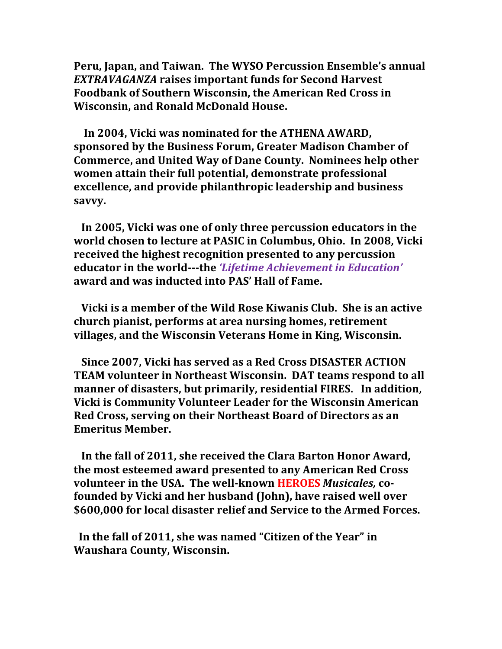**Peru, Japan, and Taiwan. The WYSO Percussion Ensemble's annual EXTRAVAGANZA** raises important funds for Second Harvest Foodbank of Southern Wisconsin, the American Red Cross in **Wisconsin, and Ronald McDonald House.** 

In 2004, Vicki was nominated for the ATHENA AWARD, sponsored by the Business Forum, Greater Madison Chamber of **Commerce, and United Way of Dane County. Nominees help other women attain their full potential, demonstrate professional excellence, and provide philanthropic leadership and business savvy.**

In 2005, Vicki was one of only three percussion educators in the **world chosen to lecture at PASIC in Columbus, Ohio. In 2008, Vicki received the highest recognition presented to any percussion** *educator* in the world---the 'Lifetime Achievement in Education' **award and was inducted into PAS' Hall of Fame.** 

**Vicki is a member of the Wild Rose Kiwanis Club. She is an active church pianist, performs at area nursing homes, retirement villages, and the Wisconsin Veterans Home in King, Wisconsin.** 

**Since 2007, Vicki has served as a Red Cross DISASTER ACTION TEAM** volunteer in Northeast Wisconsin. DAT teams respond to all **manner of disasters, but primarily, residential FIRES. In addition, Vicki is Community Volunteer Leader for the Wisconsin American Red Cross, serving on their Northeast Board of Directors as an Emeritus Member.** 

In the fall of 2011, she received the Clara Barton Honor Award, the most esteemed award presented to any American Red Cross **volunteer** in the USA. The well-known HEROES Musicales, cofounded by Vicki and her husband (John), have raised well over \$600,000 for local disaster relief and Service to the Armed Forces.

In the fall of 2011, she was named "Citizen of the Year" in **Waushara County, Wisconsin.**